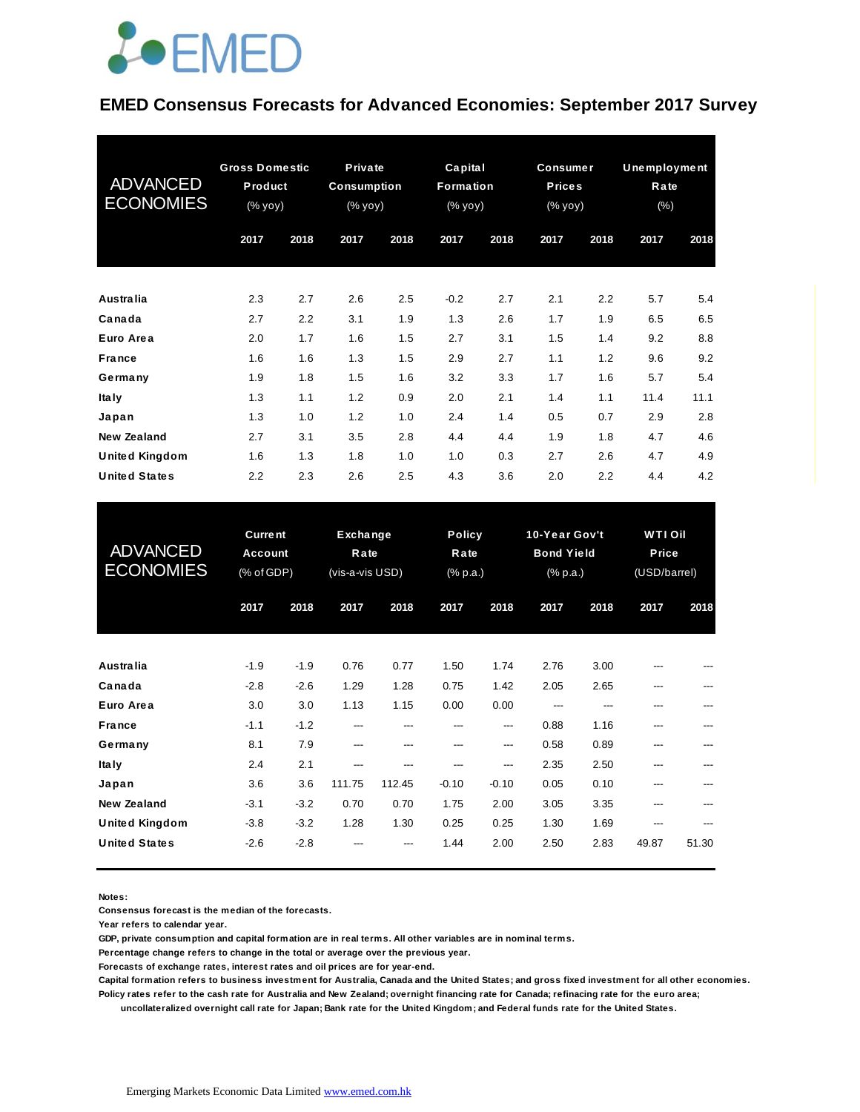

#### **EMED Consensus Forecasts for Advanced Economies: September 2017 Survey**

| <b>ADVANCED</b><br><b>ECONOMIES</b> | <b>Gross Domestic</b><br>Product<br>(% yoy) |      | Private<br><b>Consumption</b><br>(% yoy) |      | Capital<br>Formation<br>$(% \mathbf{y}\right)$ (% $\overline{\mathbf{y}}$ $\overline{\mathbf{y}}$ $\overline{\mathbf{y}}$ |      | <b>Consumer</b><br><b>Prices</b><br>(% yoy) |      | <b>Unemployment</b><br>Rate<br>(% ) |      |
|-------------------------------------|---------------------------------------------|------|------------------------------------------|------|---------------------------------------------------------------------------------------------------------------------------|------|---------------------------------------------|------|-------------------------------------|------|
|                                     | 2017                                        | 2018 | 2017                                     | 2018 | 2017                                                                                                                      | 2018 | 2017                                        | 2018 | 2017                                | 2018 |
| Australia                           | 2.3                                         | 2.7  | 2.6                                      | 2.5  | $-0.2$                                                                                                                    | 2.7  | 2.1                                         | 2.2  | 5.7                                 | 5.4  |
| Canada                              | 2.7                                         | 2.2  | 3.1                                      | 1.9  | 1.3                                                                                                                       | 2.6  | 1.7                                         | 1.9  | 6.5                                 | 6.5  |
| Euro Area                           | 2.0                                         | 1.7  | 1.6                                      | 1.5  | 2.7                                                                                                                       | 3.1  | 1.5                                         | 1.4  | 9.2                                 | 8.8  |
| France                              | 1.6                                         | 1.6  | 1.3                                      | 1.5  | 2.9                                                                                                                       | 2.7  | 1.1                                         | 1.2  | 9.6                                 | 9.2  |
| Germany                             | 1.9                                         | 1.8  | 1.5                                      | 1.6  | 3.2                                                                                                                       | 3.3  | 1.7                                         | 1.6  | 5.7                                 | 5.4  |
| <b>Italy</b>                        | 1.3                                         | 1.1  | 1.2                                      | 0.9  | 2.0                                                                                                                       | 2.1  | 1.4                                         | 1.1  | 11.4                                | 11.1 |
| Japan                               | 1.3                                         | 1.0  | 1.2                                      | 1.0  | 2.4                                                                                                                       | 1.4  | 0.5                                         | 0.7  | 2.9                                 | 2.8  |
| <b>New Zealand</b>                  | 2.7                                         | 3.1  | 3.5                                      | 2.8  | 4.4                                                                                                                       | 4.4  | 1.9                                         | 1.8  | 4.7                                 | 4.6  |
| <b>United Kingdom</b>               | 1.6                                         | 1.3  | 1.8                                      | 1.0  | 1.0                                                                                                                       | 0.3  | 2.7                                         | 2.6  | 4.7                                 | 4.9  |
| <b>United States</b>                | 2.2                                         | 2.3  | 2.6                                      | 2.5  | 4.3                                                                                                                       | 3.6  | 2.0                                         | 2.2  | 4.4                                 | 4.2  |

| <b>United States</b>                          | 2.2                                     | 2.3              | 2.6                                 | 2.5            | 4.3                               | 3.6             | 2.0                                            | 2.2          | 4.4                                     | 4.2   |
|-----------------------------------------------|-----------------------------------------|------------------|-------------------------------------|----------------|-----------------------------------|-----------------|------------------------------------------------|--------------|-----------------------------------------|-------|
| <b>ADVANCED</b><br><b>ECONOMIES</b>           | <b>Current</b><br>Account<br>(% of GDP) |                  | Exchange<br>Rate<br>(vis-a-vis USD) |                | <b>Policy</b><br>Rate<br>(% p.a.) |                 | 10-Year Gov't<br><b>Bond Yield</b><br>(% p.a.) |              | <b>WTI Oil</b><br>Price<br>(USD/barrel) |       |
|                                               | 2017                                    | 2018             | 2017                                | 2018           | 2017                              | 2018            | 2017                                           | 2018         | 2017                                    | 2018  |
| Australia                                     | $-1.9$                                  | $-1.9$           | 0.76                                | 0.77           | 1.50                              | 1.74            | 2.76                                           | 3.00         |                                         |       |
| Canada<br>Euro Area                           | $-2.8$<br>3.0                           | $-2.6$<br>3.0    | 1.29<br>1.13                        | 1.28<br>1.15   | 0.75<br>0.00                      | 1.42<br>0.00    | 2.05<br>---                                    | 2.65<br>---  | ---<br>---                              |       |
| France<br>Germany                             | $-1.1$<br>8.1                           | $-1.2$<br>7.9    | ---<br>---                          | ---<br>---     | ---<br>---                        | ---<br>$---$    | 0.88<br>0.58                                   | 1.16<br>0.89 | ---<br>---                              |       |
| Ita Iv                                        | 2.4                                     | 2.1              | ---                                 | ---            | ---                               | ---             | 2.35                                           | 2.50         | ---                                     |       |
| Japan<br><b>New Zealand</b>                   | 3.6<br>$-3.1$                           | 3.6<br>$-3.2$    | 111.75<br>0.70                      | 112.45<br>0.70 | $-0.10$<br>1.75                   | $-0.10$<br>2.00 | 0.05<br>3.05                                   | 0.10<br>3.35 | ---<br>---                              | ---   |
| <b>United Kingdom</b><br><b>United States</b> | $-3.8$<br>$-2.6$                        | $-3.2$<br>$-2.8$ | 1.28                                | 1.30           | 0.25<br>1.44                      | 0.25<br>2.00    | 1.30<br>2.50                                   | 1.69<br>2.83 | 49.87                                   | 51.30 |
|                                               |                                         |                  |                                     |                |                                   |                 |                                                |              |                                         |       |

**Notes:** 

**Consensus forecast is the median of the forecasts.**

**Year refers to calendar year.**

**GDP, private consumption and capital formation are in real terms. All other variables are in nominal terms.**

**Percentage change refers to change in the total or average over the previous year.**

**Forecasts of exchange rates, interest rates and oil prices are for year-end.**

**Capital formation refers to business investment for Australia, Canada and the United States; and gross fixed investment for all other economies. Policy rates refer to the cash rate for Australia and New Zealand; overnight financing rate for Canada; refinacing rate for the euro area;** 

 **uncollateralized overnight call rate for Japan; Bank rate for the United Kingdom; and Federal funds rate for the United States.**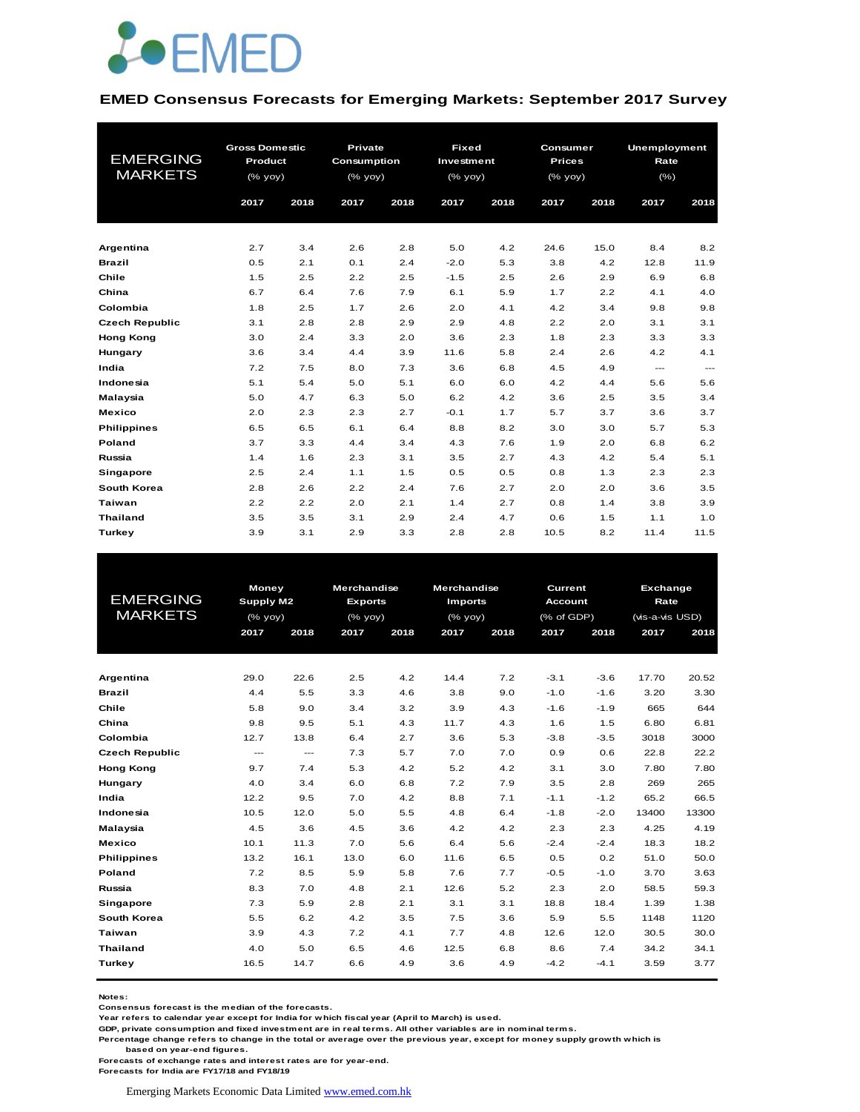

#### **EMED Consensus Forecasts for Emerging Markets: September 2017 Survey**

|                       | <b>Gross Domestic</b> |      | <b>Private</b>     |      |            | <b>Fixed</b><br>Consumer |               |      |         | Unemployment           |  |  |
|-----------------------|-----------------------|------|--------------------|------|------------|--------------------------|---------------|------|---------|------------------------|--|--|
| <b>EMERGING</b>       | Product               |      | <b>Consumption</b> |      | Investment |                          | <b>Prices</b> |      | Rate    |                        |  |  |
| <b>MARKETS</b>        | (% yoy)               |      | (% yoy)            |      | (% yoy)    |                          | $(\%$ yoy)    |      | $(\% )$ |                        |  |  |
|                       |                       |      |                    |      |            |                          |               |      |         |                        |  |  |
|                       | 2017                  | 2018 | 2017               | 2018 | 2017       | 2018                     | 2017          | 2018 | 2017    | 2018                   |  |  |
|                       |                       |      |                    |      |            |                          |               |      |         |                        |  |  |
| Argentina             | 2.7                   | 3.4  | 2.6                | 2.8  | 5.0        | 4.2                      | 24.6          | 15.0 | 8.4     | 8.2                    |  |  |
| <b>Brazil</b>         | 0.5                   | 2.1  | 0.1                | 2.4  | $-2.0$     | 5.3                      | 3.8           | 4.2  | 12.8    | 11.9                   |  |  |
| Chile                 | 1.5                   | 2.5  | 2.2                | 2.5  | $-1.5$     | 2.5                      | 2.6           | 2.9  | 6.9     | 6.8                    |  |  |
| China                 | 6.7                   | 6.4  | 7.6                | 7.9  | 6.1        | 5.9                      | 1.7           | 2.2  | 4.1     | 4.0                    |  |  |
| Colombia              | 1.8                   | 2.5  | 1.7                | 2.6  | 2.0        | 4.1                      | 4.2           | 3.4  | 9.8     | 9.8                    |  |  |
| <b>Czech Republic</b> | 3.1                   | 2.8  | 2.8                | 2.9  | 2.9        | 4.8                      | 2.2           | 2.0  | 3.1     | 3.1                    |  |  |
| <b>Hong Kong</b>      | 3.0                   | 2.4  | 3.3                | 2.0  | 3.6        | 2.3                      | 1.8           | 2.3  | 3.3     | 3.3                    |  |  |
| Hungary               | 3.6                   | 3.4  | 4.4                | 3.9  | 11.6       | 5.8                      | 2.4           | 2.6  | 4.2     | 4.1                    |  |  |
| India                 | 7.2                   | 7.5  | 8.0                | 7.3  | 3.6        | 6.8                      | 4.5           | 4.9  | ---     | $\qquad \qquad \cdots$ |  |  |
| Indonesia             | 5.1                   | 5.4  | 5.0                | 5.1  | 6.0        | 6.0                      | 4.2           | 4.4  | 5.6     | 5.6                    |  |  |
| Malaysia              | 5.0                   | 4.7  | 6.3                | 5.0  | 6.2        | 4.2                      | 3.6           | 2.5  | 3.5     | 3.4                    |  |  |
| <b>Mexico</b>         | 2.0                   | 2.3  | 2.3                | 2.7  | $-0.1$     | 1.7                      | 5.7           | 3.7  | 3.6     | 3.7                    |  |  |
| <b>Philippines</b>    | 6.5                   | 6.5  | 6.1                | 6.4  | 8.8        | 8.2                      | 3.0           | 3.0  | 5.7     | 5.3                    |  |  |
| Poland                | 3.7                   | 3.3  | 4.4                | 3.4  | 4.3        | 7.6                      | 1.9           | 2.0  | 6.8     | 6.2                    |  |  |
| Russia                | 1.4                   | 1.6  | 2.3                | 3.1  | 3.5        | 2.7                      | 4.3           | 4.2  | 5.4     | 5.1                    |  |  |
| <b>Singapore</b>      | 2.5                   | 2.4  | 1.1                | 1.5  | 0.5        | 0.5                      | 0.8           | 1.3  | 2.3     | 2.3                    |  |  |
| South Korea           | 2.8                   | 2.6  | 2.2                | 2.4  | 7.6        | 2.7                      | 2.0           | 2.0  | 3.6     | 3.5                    |  |  |
| Taiwan                | 2.2                   | 2.2  | 2.0                | 2.1  | 1.4        | 2.7                      | 0.8           | 1.4  | 3.8     | 3.9                    |  |  |
| <b>Thailand</b>       | 3.5                   | 3.5  | 3.1                | 2.9  | 2.4        | 4.7                      | 0.6           | 1.5  | 1.1     | 1.0                    |  |  |
|                       |                       |      |                    |      |            |                          |               |      |         |                        |  |  |
| Turkey                | 3.9                   | 3.1  | 2.9                | 3.3  | 2.8        | 2.8                      | 10.5          | 8.2  | 11.4    | 11.5                   |  |  |

|                       | <b>Money</b>           |          | <b>Merchandise</b> |      | <b>Merchandise</b> |      | Current        |        | <b>Exchange</b> |       |
|-----------------------|------------------------|----------|--------------------|------|--------------------|------|----------------|--------|-----------------|-------|
| <b>EMERGING</b>       | Supply M2              |          | <b>Exports</b>     |      | <b>Imports</b>     |      | <b>Account</b> |        | Rate            |       |
| <b>MARKETS</b>        | (% yoy)                |          | $(%$ (% yoy)       |      | $(%$ (% yoy)       |      | (% of GDP)     |        | (vis-a-vis USD) |       |
|                       | 2017                   | 2018     | 2017               | 2018 | 2017               | 2018 | 2017           | 2018   | 2017            | 2018  |
|                       |                        |          |                    |      |                    |      |                |        |                 |       |
|                       |                        |          |                    |      |                    |      |                |        |                 |       |
| Argentina             | 29.0                   | 22.6     | 2.5                | 4.2  | 14.4               | 7.2  | $-3.1$         | $-3.6$ | 17.70           | 20.52 |
| <b>Brazil</b>         | 4.4                    | 5.5      | 3.3                | 4.6  | 3.8                | 9.0  | $-1.0$         | $-1.6$ | 3.20            | 3.30  |
| Chile                 | 5.8                    | 9.0      | 3.4                | 3.2  | 3.9                | 4.3  | $-1.6$         | $-1.9$ | 665             | 644   |
| China                 | 9.8                    | 9.5      | 5.1                | 4.3  | 11.7               | 4.3  | 1.6            | 1.5    | 6.80            | 6.81  |
| Colombia              | 12.7                   | 13.8     | 6.4                | 2.7  | 3.6                | 5.3  | $-3.8$         | $-3.5$ | 3018            | 3000  |
| <b>Czech Republic</b> | $\qquad \qquad \cdots$ | $\cdots$ | 7.3                | 5.7  | 7.0                | 7.0  | 0.9            | 0.6    | 22.8            | 22.2  |
| <b>Hong Kong</b>      | 9.7                    | 7.4      | 5.3                | 4.2  | 5.2                | 4.2  | 3.1            | 3.0    | 7.80            | 7.80  |
| Hungary               | 4.0                    | 3.4      | 6.0                | 6.8  | 7.2                | 7.9  | 3.5            | 2.8    | 269             | 265   |
| India                 | 12.2                   | 9.5      | 7.0                | 4.2  | 8.8                | 7.1  | $-1.1$         | $-1.2$ | 65.2            | 66.5  |
| Indonesia             | 10.5                   | 12.0     | 5.0                | 5.5  | 4.8                | 6.4  | $-1.8$         | $-2.0$ | 13400           | 13300 |
| Malaysia              | 4.5                    | 3.6      | 4.5                | 3.6  | 4.2                | 4.2  | 2.3            | 2.3    | 4.25            | 4.19  |
| <b>Mexico</b>         | 10.1                   | 11.3     | 7.0                | 5.6  | 6.4                | 5.6  | $-2.4$         | $-2.4$ | 18.3            | 18.2  |
| <b>Philippines</b>    | 13.2                   | 16.1     | 13.0               | 6.0  | 11.6               | 6.5  | 0.5            | 0.2    | 51.0            | 50.0  |
| Poland                | 7.2                    | 8.5      | 5.9                | 5.8  | 7.6                | 7.7  | $-0.5$         | $-1.0$ | 3.70            | 3.63  |
| Russia                | 8.3                    | 7.0      | 4.8                | 2.1  | 12.6               | 5.2  | 2.3            | 2.0    | 58.5            | 59.3  |
| Singapore             | 7.3                    | 5.9      | 2.8                | 2.1  | 3.1                | 3.1  | 18.8           | 18.4   | 1.39            | 1.38  |
| South Korea           | 5.5                    | 6.2      | 4.2                | 3.5  | 7.5                | 3.6  | 5.9            | 5.5    | 1148            | 1120  |
| Taiwan                | 3.9                    | 4.3      | 7.2                | 4.1  | 7.7                | 4.8  | 12.6           | 12.0   | 30.5            | 30.0  |
| <b>Thailand</b>       | 4.0                    | 5.0      | 6.5                | 4.6  | 12.5               | 6.8  | 8.6            | 7.4    | 34.2            | 34.1  |
| Turkey                | 16.5                   | 14.7     | 6.6                | 4.9  | 3.6                | 4.9  | $-4.2$         | $-4.1$ | 3.59            | 3.77  |
|                       |                        |          |                    |      |                    |      |                |        |                 |       |

**Notes:** 

**Consensus forecast is the median of the forecasts.**

**Year refers to calendar year except for India for which fiscal year (April to March) is used. GDP, private consumption and fixed investment are in real terms. All other variables are in nominal terms.**

**Percentage change refers to change in the total or average over the previous year, except for money supply growth which is** 

 **based on year-end figures.**

**Forecasts of exchange rates and interest rates are for year-end.**

**Forecasts for India are FY17/18 and FY18/19**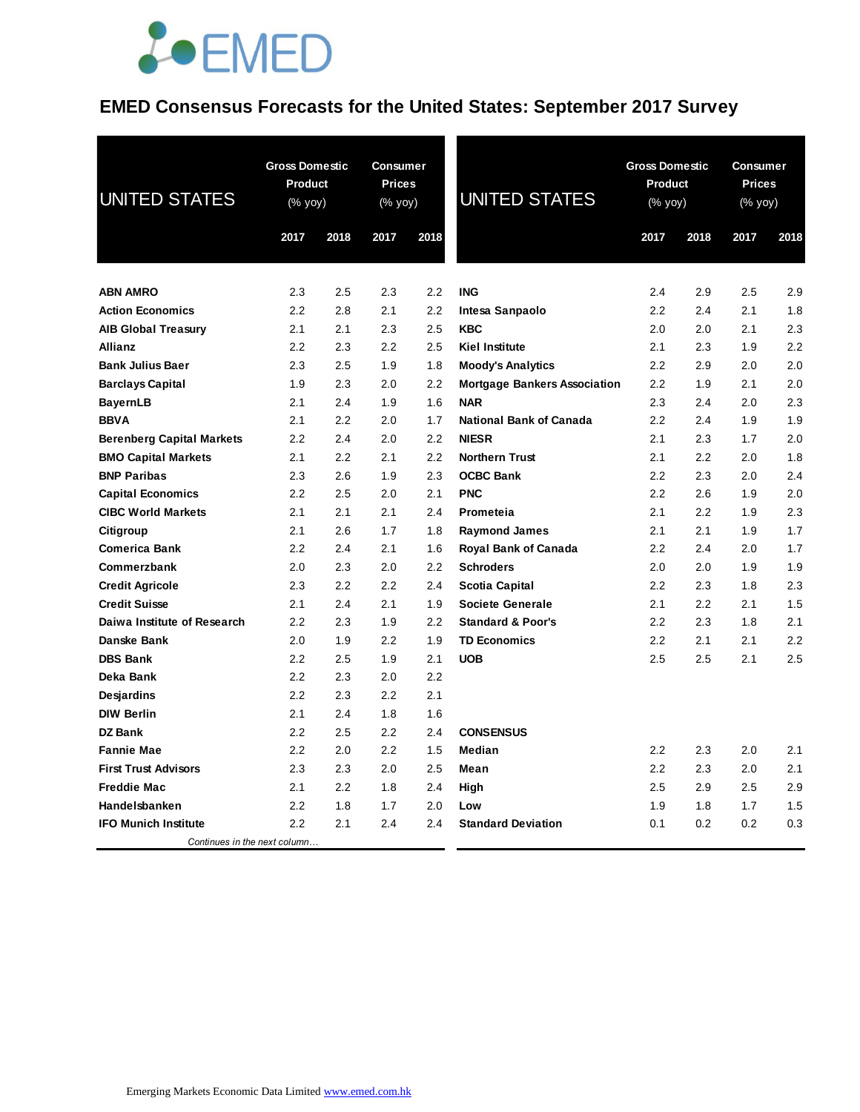## **EMED Consensus Forecasts for the United States: September 2017 Survey**

| <b>UNITED STATES</b>             |      | <b>Gross Domestic</b><br><b>Consumer</b><br><b>Product</b><br><b>Prices</b><br><b>UNITED STATES</b><br>(% yoy)<br>(% yoy) |      | <b>Gross Domestic</b><br><b>Product</b><br>(% yoy) |                                     | Consumer<br><b>Prices</b><br>(% yoy) |      |      |      |
|----------------------------------|------|---------------------------------------------------------------------------------------------------------------------------|------|----------------------------------------------------|-------------------------------------|--------------------------------------|------|------|------|
|                                  | 2017 | 2018                                                                                                                      | 2017 | 2018                                               |                                     | 2017                                 | 2018 | 2017 | 2018 |
| <b>ABN AMRO</b>                  | 2.3  | 2.5                                                                                                                       | 2.3  | 2.2                                                | <b>ING</b>                          | 2.4                                  | 2.9  | 2.5  | 2.9  |
| <b>Action Economics</b>          | 2.2  | 2.8                                                                                                                       | 2.1  | 2.2                                                | Intesa Sanpaolo                     | 2.2                                  | 2.4  | 2.1  | 1.8  |
| <b>AIB Global Treasury</b>       | 2.1  | 2.1                                                                                                                       | 2.3  | 2.5                                                | <b>KBC</b>                          | 2.0                                  | 2.0  | 2.1  | 2.3  |
| <b>Allianz</b>                   | 2.2  | 2.3                                                                                                                       | 2.2  | 2.5                                                | <b>Kiel Institute</b>               | 2.1                                  | 2.3  | 1.9  | 2.2  |
| <b>Bank Julius Baer</b>          | 2.3  | 2.5                                                                                                                       | 1.9  | 1.8                                                | <b>Moody's Analytics</b>            | 2.2                                  | 2.9  | 2.0  | 2.0  |
| <b>Barclays Capital</b>          | 1.9  | 2.3                                                                                                                       | 2.0  | 2.2                                                | <b>Mortgage Bankers Association</b> | 2.2                                  | 1.9  | 2.1  | 2.0  |
| <b>BayernLB</b>                  | 2.1  | 2.4                                                                                                                       | 1.9  | 1.6                                                | <b>NAR</b>                          | 2.3                                  | 2.4  | 2.0  | 2.3  |
| <b>BBVA</b>                      | 2.1  | 2.2                                                                                                                       | 2.0  | 1.7                                                | <b>National Bank of Canada</b>      | 2.2                                  | 2.4  | 1.9  | 1.9  |
| <b>Berenberg Capital Markets</b> | 2.2  | 2.4                                                                                                                       | 2.0  | 2.2                                                | <b>NIESR</b>                        | 2.1                                  | 2.3  | 1.7  | 2.0  |
| <b>BMO Capital Markets</b>       | 2.1  | 2.2                                                                                                                       | 2.1  | 2.2                                                | <b>Northern Trust</b>               | 2.1                                  | 2.2  | 2.0  | 1.8  |
| <b>BNP Paribas</b>               | 2.3  | 2.6                                                                                                                       | 1.9  | 2.3                                                | <b>OCBC Bank</b>                    | 2.2                                  | 2.3  | 2.0  | 2.4  |
| <b>Capital Economics</b>         | 2.2  | 2.5                                                                                                                       | 2.0  | 2.1                                                | <b>PNC</b>                          | 2.2                                  | 2.6  | 1.9  | 2.0  |
| <b>CIBC World Markets</b>        | 2.1  | 2.1                                                                                                                       | 2.1  | 2.4                                                | Prometeia                           | 2.1                                  | 2.2  | 1.9  | 2.3  |
| Citigroup                        | 2.1  | 2.6                                                                                                                       | 1.7  | 1.8                                                | <b>Raymond James</b>                | 2.1                                  | 2.1  | 1.9  | 1.7  |
| <b>Comerica Bank</b>             | 2.2  | 2.4                                                                                                                       | 2.1  | 1.6                                                | <b>Royal Bank of Canada</b>         | 2.2                                  | 2.4  | 2.0  | 1.7  |
| Commerzbank                      | 2.0  | 2.3                                                                                                                       | 2.0  | 2.2                                                | <b>Schroders</b>                    | 2.0                                  | 2.0  | 1.9  | 1.9  |
| <b>Credit Agricole</b>           | 2.3  | 2.2                                                                                                                       | 2.2  | 2.4                                                | Scotia Capital                      | $2.2\,$                              | 2.3  | 1.8  | 2.3  |
| <b>Credit Suisse</b>             | 2.1  | 2.4                                                                                                                       | 2.1  | 1.9                                                | <b>Societe Generale</b>             | 2.1                                  | 2.2  | 2.1  | 1.5  |
| Daiwa Institute of Research      | 2.2  | 2.3                                                                                                                       | 1.9  | 2.2                                                | <b>Standard &amp; Poor's</b>        | 2.2                                  | 2.3  | 1.8  | 2.1  |
| Danske Bank                      | 2.0  | 1.9                                                                                                                       | 2.2  | 1.9                                                | <b>TD Economics</b>                 | $2.2\,$                              | 2.1  | 2.1  | 2.2  |
| <b>DBS Bank</b>                  | 2.2  | 2.5                                                                                                                       | 1.9  | 2.1                                                | <b>UOB</b>                          | 2.5                                  | 2.5  | 2.1  | 2.5  |
| Deka Bank                        | 2.2  | 2.3                                                                                                                       | 2.0  | 2.2                                                |                                     |                                      |      |      |      |
| <b>Desjardins</b>                | 2.2  | 2.3                                                                                                                       | 2.2  | 2.1                                                |                                     |                                      |      |      |      |
| <b>DIW Berlin</b>                | 2.1  | 2.4                                                                                                                       | 1.8  | 1.6                                                |                                     |                                      |      |      |      |
| <b>DZ Bank</b>                   | 2.2  | 2.5                                                                                                                       | 2.2  | 2.4                                                | <b>CONSENSUS</b>                    |                                      |      |      |      |
| <b>Fannie Mae</b>                | 2.2  | 2.0                                                                                                                       | 2.2  | 1.5                                                | Median                              | $2.2\,$                              | 2.3  | 2.0  | 2.1  |
| <b>First Trust Advisors</b>      | 2.3  | 2.3                                                                                                                       | 2.0  | 2.5                                                | Mean                                | $2.2\,$                              | 2.3  | 2.0  | 2.1  |
| <b>Freddie Mac</b>               | 2.1  | 2.2                                                                                                                       | 1.8  | 2.4                                                | High                                | 2.5                                  | 2.9  | 2.5  | 2.9  |
| Handelsbanken                    | 2.2  | 1.8                                                                                                                       | 1.7  | 2.0                                                | Low                                 | 1.9                                  | 1.8  | 1.7  | 1.5  |
| <b>IFO Munich Institute</b>      | 2.2  | 2.1                                                                                                                       | 2.4  | 2.4                                                | <b>Standard Deviation</b>           | 0.1                                  | 0.2  | 0.2  | 0.3  |
| Continues in the next column     |      |                                                                                                                           |      |                                                    |                                     |                                      |      |      |      |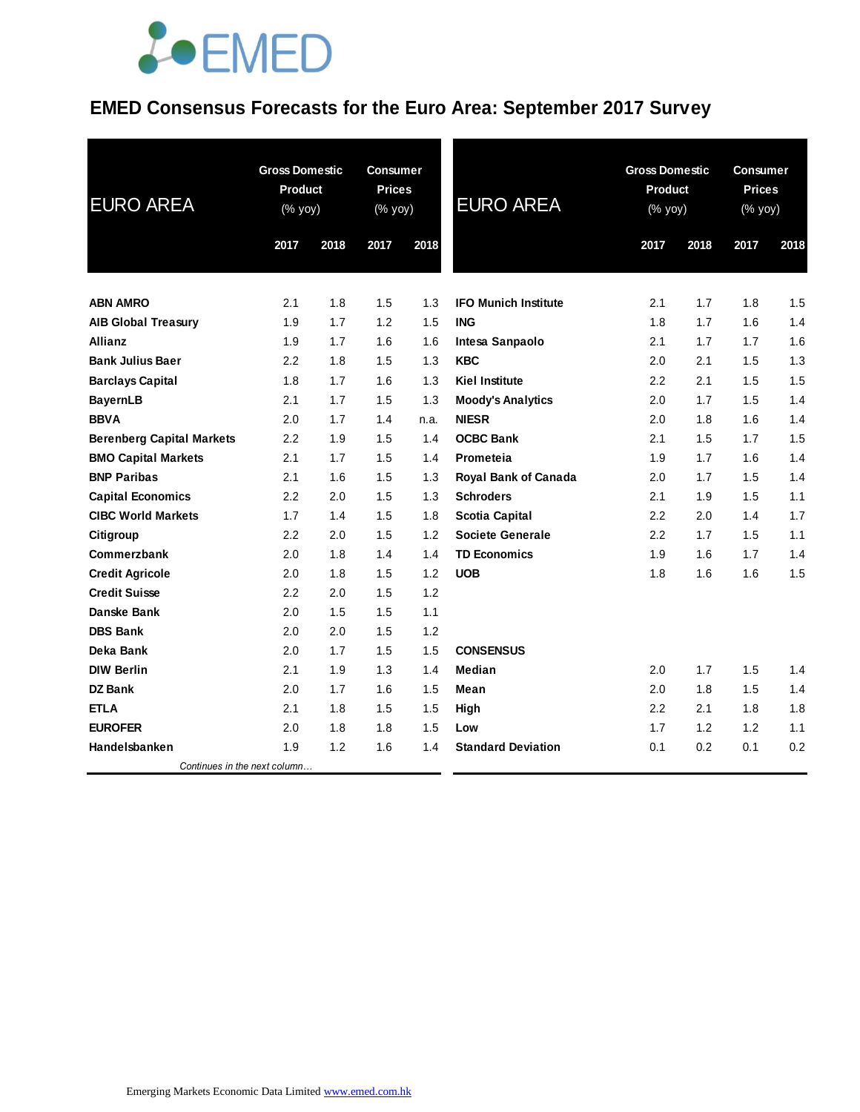### **EMED Consensus Forecasts for the Euro Area: September 2017 Survey**

| <b>EURO AREA</b>                 | <b>Gross Domestic</b><br><b>Product</b><br>(% yoy) |      | <b>Consumer</b><br><b>Prices</b><br>$(% \mathsf{Y}^{\prime }\mathsf{Y}^{\prime }\mathsf{Y}^{\prime })$ |      | <b>EURO AREA</b>            | <b>Gross Domestic</b><br><b>Product</b><br>(% yoy) |      | <b>Consumer</b><br><b>Prices</b><br>$(% \mathsf{Y}\rightarrow \mathsf{Y})$ |      |
|----------------------------------|----------------------------------------------------|------|--------------------------------------------------------------------------------------------------------|------|-----------------------------|----------------------------------------------------|------|----------------------------------------------------------------------------|------|
|                                  | 2017                                               | 2018 | 2017                                                                                                   | 2018 |                             | 2017                                               | 2018 | 2017                                                                       | 2018 |
|                                  |                                                    |      |                                                                                                        |      |                             |                                                    |      |                                                                            |      |
| <b>ABN AMRO</b>                  | 2.1                                                | 1.8  | 1.5                                                                                                    | 1.3  | <b>IFO Munich Institute</b> | 2.1                                                | 1.7  | 1.8                                                                        | 1.5  |
| <b>AIB Global Treasury</b>       | 1.9                                                | 1.7  | 1.2                                                                                                    | 1.5  | <b>ING</b>                  | 1.8                                                | 1.7  | 1.6                                                                        | 1.4  |
| <b>Allianz</b>                   | 1.9                                                | 1.7  | 1.6                                                                                                    | 1.6  | Intesa Sanpaolo             | 2.1                                                | 1.7  | 1.7                                                                        | 1.6  |
| <b>Bank Julius Baer</b>          | 2.2                                                | 1.8  | 1.5                                                                                                    | 1.3  | <b>KBC</b>                  | 2.0                                                | 2.1  | 1.5                                                                        | 1.3  |
| <b>Barclays Capital</b>          | 1.8                                                | 1.7  | 1.6                                                                                                    | 1.3  | <b>Kiel Institute</b>       | 2.2                                                | 2.1  | 1.5                                                                        | 1.5  |
| <b>BayernLB</b>                  | 2.1                                                | 1.7  | 1.5                                                                                                    | 1.3  | <b>Moody's Analytics</b>    | 2.0                                                | 1.7  | 1.5                                                                        | 1.4  |
| <b>BBVA</b>                      | 2.0                                                | 1.7  | 1.4                                                                                                    | n.a. | <b>NIESR</b>                | 2.0                                                | 1.8  | 1.6                                                                        | 1.4  |
| <b>Berenberg Capital Markets</b> | $2.2\phantom{0}$                                   | 1.9  | 1.5                                                                                                    | 1.4  | <b>OCBC Bank</b>            | 2.1                                                | 1.5  | 1.7                                                                        | 1.5  |
| <b>BMO Capital Markets</b>       | 2.1                                                | 1.7  | 1.5                                                                                                    | 1.4  | Prometeia                   | 1.9                                                | 1.7  | 1.6                                                                        | 1.4  |
| <b>BNP Paribas</b>               | 2.1                                                | 1.6  | 1.5                                                                                                    | 1.3  | Royal Bank of Canada        | 2.0                                                | 1.7  | 1.5                                                                        | 1.4  |
| <b>Capital Economics</b>         | 2.2                                                | 2.0  | 1.5                                                                                                    | 1.3  | <b>Schroders</b>            | 2.1                                                | 1.9  | 1.5                                                                        | 1.1  |
| <b>CIBC World Markets</b>        | 1.7                                                | 1.4  | 1.5                                                                                                    | 1.8  | <b>Scotia Capital</b>       | 2.2                                                | 2.0  | 1.4                                                                        | 1.7  |
| Citigroup                        | 2.2                                                | 2.0  | 1.5                                                                                                    | 1.2  | <b>Societe Generale</b>     | 2.2                                                | 1.7  | 1.5                                                                        | 1.1  |
| Commerzbank                      | 2.0                                                | 1.8  | 1.4                                                                                                    | 1.4  | <b>TD Economics</b>         | 1.9                                                | 1.6  | 1.7                                                                        | 1.4  |
| <b>Credit Agricole</b>           | 2.0                                                | 1.8  | 1.5                                                                                                    | 1.2  | <b>UOB</b>                  | 1.8                                                | 1.6  | 1.6                                                                        | 1.5  |
| <b>Credit Suisse</b>             | $2.2\phantom{0}$                                   | 2.0  | 1.5                                                                                                    | 1.2  |                             |                                                    |      |                                                                            |      |
| Danske Bank                      | 2.0                                                | 1.5  | 1.5                                                                                                    | 1.1  |                             |                                                    |      |                                                                            |      |
| <b>DBS Bank</b>                  | 2.0                                                | 2.0  | 1.5                                                                                                    | 1.2  |                             |                                                    |      |                                                                            |      |
| Deka Bank                        | 2.0                                                | 1.7  | 1.5                                                                                                    | 1.5  | <b>CONSENSUS</b>            |                                                    |      |                                                                            |      |
| <b>DIW Berlin</b>                | 2.1                                                | 1.9  | 1.3                                                                                                    | 1.4  | Median                      | 2.0                                                | 1.7  | 1.5                                                                        | 1.4  |
| DZ Bank                          | 2.0                                                | 1.7  | 1.6                                                                                                    | 1.5  | Mean                        | 2.0                                                | 1.8  | 1.5                                                                        | 1.4  |
| <b>ETLA</b>                      | 2.1                                                | 1.8  | 1.5                                                                                                    | 1.5  | High                        | 2.2                                                | 2.1  | 1.8                                                                        | 1.8  |
| <b>EUROFER</b>                   | 2.0                                                | 1.8  | 1.8                                                                                                    | 1.5  | Low                         | 1.7                                                | 1.2  | 1.2                                                                        | 1.1  |
| Handelsbanken                    | 1.9                                                | 1.2  | 1.6                                                                                                    | 1.4  | <b>Standard Deviation</b>   | 0.1                                                | 0.2  | 0.1                                                                        | 0.2  |
| Continues in the next column     |                                                    |      |                                                                                                        |      |                             |                                                    |      |                                                                            |      |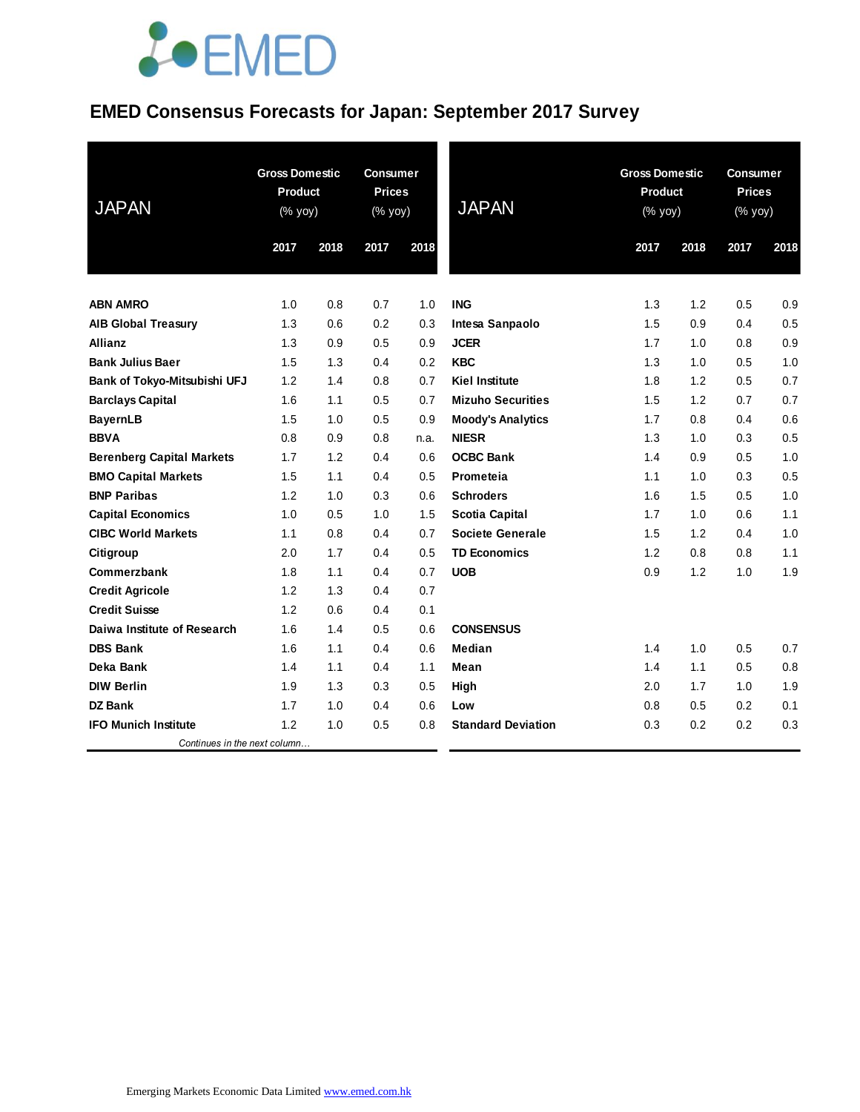## **EMED Consensus Forecasts for Japan: September 2017 Survey**

| <b>JAPAN</b>                     | <b>Gross Domestic</b><br><b>Product</b><br>(% yoy) |      | <b>Consumer</b><br><b>Prices</b><br>(% yoy) |      | <b>JAPAN</b>              | <b>Gross Domestic</b><br><b>Product</b><br>(% yoy) |      |      | <b>Consumer</b><br><b>Prices</b><br>(% yoy) |  |
|----------------------------------|----------------------------------------------------|------|---------------------------------------------|------|---------------------------|----------------------------------------------------|------|------|---------------------------------------------|--|
|                                  | 2017                                               | 2018 | 2017                                        | 2018 |                           | 2017                                               | 2018 | 2017 | 2018                                        |  |
|                                  |                                                    |      |                                             |      |                           |                                                    |      |      |                                             |  |
| <b>ABN AMRO</b>                  | 1.0                                                | 0.8  | 0.7                                         | 1.0  | <b>ING</b>                | 1.3                                                | 1.2  | 0.5  | 0.9                                         |  |
| <b>AIB Global Treasury</b>       | 1.3                                                | 0.6  | 0.2                                         | 0.3  | Intesa Sanpaolo           | 1.5                                                | 0.9  | 0.4  | 0.5                                         |  |
| <b>Allianz</b>                   | 1.3                                                | 0.9  | 0.5                                         | 0.9  | <b>JCER</b>               | 1.7                                                | 1.0  | 0.8  | 0.9                                         |  |
| <b>Bank Julius Baer</b>          | 1.5                                                | 1.3  | 0.4                                         | 0.2  | <b>KBC</b>                | 1.3                                                | 1.0  | 0.5  | 1.0                                         |  |
| Bank of Tokyo-Mitsubishi UFJ     | 1.2                                                | 1.4  | 0.8                                         | 0.7  | <b>Kiel Institute</b>     | 1.8                                                | 1.2  | 0.5  | 0.7                                         |  |
| <b>Barclays Capital</b>          | 1.6                                                | 1.1  | 0.5                                         | 0.7  | <b>Mizuho Securities</b>  | 1.5                                                | 1.2  | 0.7  | 0.7                                         |  |
| <b>BayernLB</b>                  | 1.5                                                | 1.0  | 0.5                                         | 0.9  | <b>Moody's Analytics</b>  | 1.7                                                | 0.8  | 0.4  | 0.6                                         |  |
| <b>BBVA</b>                      | 0.8                                                | 0.9  | 0.8                                         | n.a. | <b>NIESR</b>              | 1.3                                                | 1.0  | 0.3  | 0.5                                         |  |
| <b>Berenberg Capital Markets</b> | 1.7                                                | 1.2  | 0.4                                         | 0.6  | <b>OCBC Bank</b>          | 1.4                                                | 0.9  | 0.5  | 1.0                                         |  |
| <b>BMO Capital Markets</b>       | 1.5                                                | 1.1  | 0.4                                         | 0.5  | Prometeia                 | 1.1                                                | 1.0  | 0.3  | 0.5                                         |  |
| <b>BNP Paribas</b>               | 1.2                                                | 1.0  | 0.3                                         | 0.6  | <b>Schroders</b>          | 1.6                                                | 1.5  | 0.5  | 1.0                                         |  |
| <b>Capital Economics</b>         | 1.0                                                | 0.5  | 1.0                                         | 1.5  | <b>Scotia Capital</b>     | 1.7                                                | 1.0  | 0.6  | 1.1                                         |  |
| <b>CIBC World Markets</b>        | 1.1                                                | 0.8  | 0.4                                         | 0.7  | <b>Societe Generale</b>   | 1.5                                                | 1.2  | 0.4  | 1.0                                         |  |
| Citigroup                        | 2.0                                                | 1.7  | 0.4                                         | 0.5  | <b>TD Economics</b>       | 1.2                                                | 0.8  | 0.8  | 1.1                                         |  |
| Commerzbank                      | 1.8                                                | 1.1  | 0.4                                         | 0.7  | <b>UOB</b>                | 0.9                                                | 1.2  | 1.0  | 1.9                                         |  |
| <b>Credit Agricole</b>           | 1.2                                                | 1.3  | 0.4                                         | 0.7  |                           |                                                    |      |      |                                             |  |
| <b>Credit Suisse</b>             | 1.2                                                | 0.6  | 0.4                                         | 0.1  |                           |                                                    |      |      |                                             |  |
| Daiwa Institute of Research      | 1.6                                                | 1.4  | 0.5                                         | 0.6  | <b>CONSENSUS</b>          |                                                    |      |      |                                             |  |
| <b>DBS Bank</b>                  | 1.6                                                | 1.1  | 0.4                                         | 0.6  | Median                    | 1.4                                                | 1.0  | 0.5  | 0.7                                         |  |
| Deka Bank                        | 1.4                                                | 1.1  | 0.4                                         | 1.1  | Mean                      | 1.4                                                | 1.1  | 0.5  | 0.8                                         |  |
| <b>DIW Berlin</b>                | 1.9                                                | 1.3  | 0.3                                         | 0.5  | High                      | 2.0                                                | 1.7  | 1.0  | 1.9                                         |  |
| <b>DZ Bank</b>                   | 1.7                                                | 1.0  | 0.4                                         | 0.6  | Low                       | 0.8                                                | 0.5  | 0.2  | 0.1                                         |  |
| <b>IFO Munich Institute</b>      | 1.2                                                | 1.0  | 0.5                                         | 0.8  | <b>Standard Deviation</b> | 0.3                                                | 0.2  | 0.2  | 0.3                                         |  |
| Continues in the next column     |                                                    |      |                                             |      |                           |                                                    |      |      |                                             |  |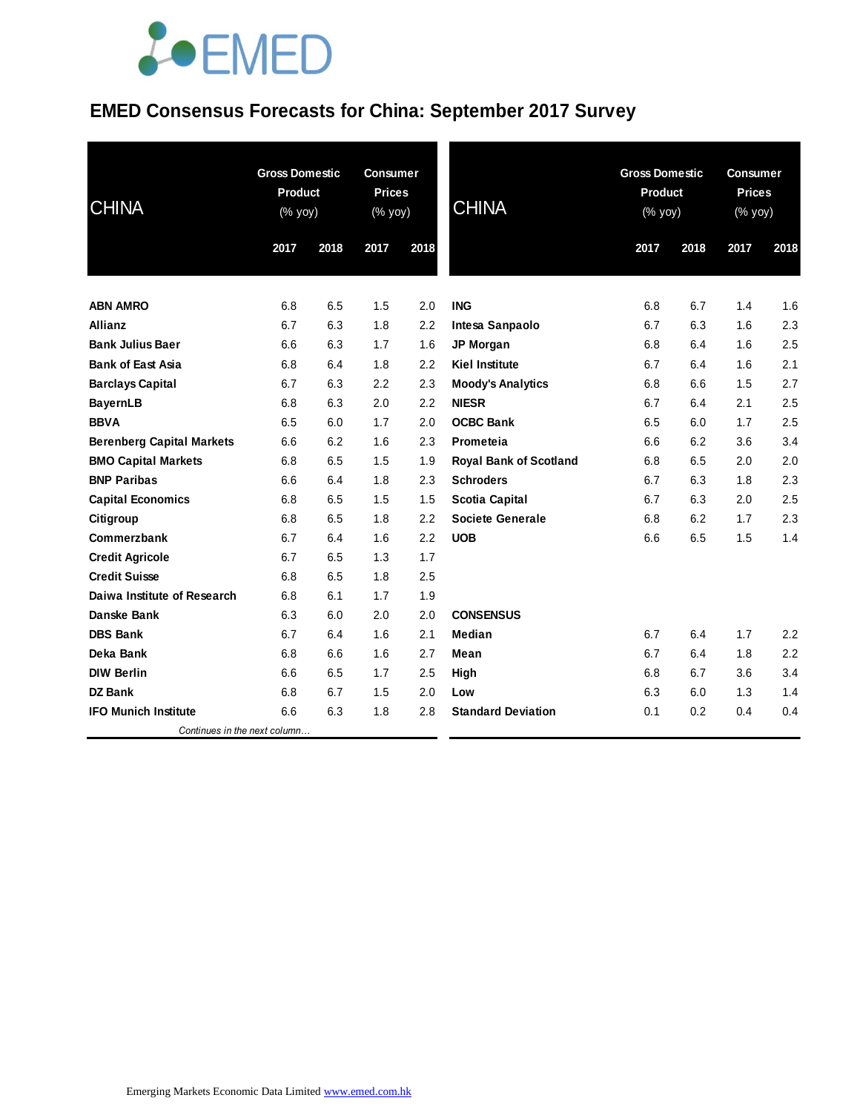## **EMED Consensus Forecasts for China: September 2017 Survey**

| <b>CHINA</b>                     | <b>Gross Domestic</b><br>Product<br>(% yoy) |      | <b>Consumer</b><br><b>Prices</b><br>(% yoy) |      | <b>CHINA</b>                  | <b>Gross Domestic</b><br>Product<br>(% yoy) |      | <b>Consumer</b><br><b>Prices</b><br>(% yoy) |      |
|----------------------------------|---------------------------------------------|------|---------------------------------------------|------|-------------------------------|---------------------------------------------|------|---------------------------------------------|------|
|                                  | 2017                                        | 2018 | 2017                                        | 2018 |                               | 2017                                        | 2018 | 2017                                        | 2018 |
| <b>ABN AMRO</b>                  | 6.8                                         | 6.5  | 1.5                                         | 2.0  | <b>ING</b>                    | 6.8                                         | 6.7  | 1.4                                         | 1.6  |
| <b>Allianz</b>                   | 6.7                                         | 6.3  | 1.8                                         | 2.2  | Intesa Sanpaolo               | 6.7                                         | 6.3  | 1.6                                         | 2.3  |
| <b>Bank Julius Baer</b>          | 6.6                                         | 6.3  | 1.7                                         | 1.6  | JP Morgan                     | 6.8                                         | 6.4  | 1.6                                         | 2.5  |
| <b>Bank of East Asia</b>         | 6.8                                         | 6.4  | 1.8                                         | 2.2  | <b>Kiel Institute</b>         | 6.7                                         | 6.4  | 1.6                                         | 2.1  |
| <b>Barclays Capital</b>          | 6.7                                         | 6.3  | 2.2                                         | 2.3  | <b>Moody's Analytics</b>      | 6.8                                         | 6.6  | 1.5                                         | 2.7  |
| <b>BayernLB</b>                  | 6.8                                         | 6.3  | 2.0                                         | 2.2  | <b>NIESR</b>                  | 6.7                                         | 6.4  | 2.1                                         | 2.5  |
| <b>BBVA</b>                      | 6.5                                         | 6.0  | 1.7                                         | 2.0  | <b>OCBC Bank</b>              | 6.5                                         | 6.0  | 1.7                                         | 2.5  |
| <b>Berenberg Capital Markets</b> | 6.6                                         | 6.2  | 1.6                                         | 2.3  | Prometeia                     | 6.6                                         | 6.2  | 3.6                                         | 3.4  |
| <b>BMO Capital Markets</b>       | 6.8                                         | 6.5  | 1.5                                         | 1.9  | <b>Royal Bank of Scotland</b> | 6.8                                         | 6.5  | 2.0                                         | 2.0  |
| <b>BNP Paribas</b>               | 6.6                                         | 6.4  | 1.8                                         | 2.3  | <b>Schroders</b>              | 6.7                                         | 6.3  | 1.8                                         | 2.3  |
| <b>Capital Economics</b>         | 6.8                                         | 6.5  | 1.5                                         | 1.5  | Scotia Capital                | 6.7                                         | 6.3  | 2.0                                         | 2.5  |
| Citigroup                        | 6.8                                         | 6.5  | 1.8                                         | 2.2  | <b>Societe Generale</b>       | 6.8                                         | 6.2  | 1.7                                         | 2.3  |
| Commerzbank                      | 6.7                                         | 6.4  | 1.6                                         | 2.2  | <b>UOB</b>                    | 6.6                                         | 6.5  | 1.5                                         | 1.4  |
| <b>Credit Agricole</b>           | 6.7                                         | 6.5  | 1.3                                         | 1.7  |                               |                                             |      |                                             |      |
| <b>Credit Suisse</b>             | 6.8                                         | 6.5  | 1.8                                         | 2.5  |                               |                                             |      |                                             |      |
| Daiwa Institute of Research      | 6.8                                         | 6.1  | 1.7                                         | 1.9  |                               |                                             |      |                                             |      |
| <b>Danske Bank</b>               | 6.3                                         | 6.0  | 2.0                                         | 2.0  | <b>CONSENSUS</b>              |                                             |      |                                             |      |
| <b>DBS Bank</b>                  | 6.7                                         | 6.4  | 1.6                                         | 2.1  | Median                        | 6.7                                         | 6.4  | 1.7                                         | 2.2  |
| Deka Bank                        | 6.8                                         | 6.6  | 1.6                                         | 2.7  | Mean                          | 6.7                                         | 6.4  | 1.8                                         | 2.2  |
| <b>DIW Berlin</b>                | 6.6                                         | 6.5  | 1.7                                         | 2.5  | High                          | 6.8                                         | 6.7  | 3.6                                         | 3.4  |
| <b>DZ Bank</b>                   | 6.8                                         | 6.7  | 1.5                                         | 2.0  | Low                           | 6.3                                         | 6.0  | 1.3                                         | 1.4  |
| <b>IFO Munich Institute</b>      | 6.6                                         | 6.3  | 1.8                                         | 2.8  | <b>Standard Deviation</b>     | 0.1                                         | 0.2  | 0.4                                         | 0.4  |
| Continues in the next column     |                                             |      |                                             |      |                               |                                             |      |                                             |      |